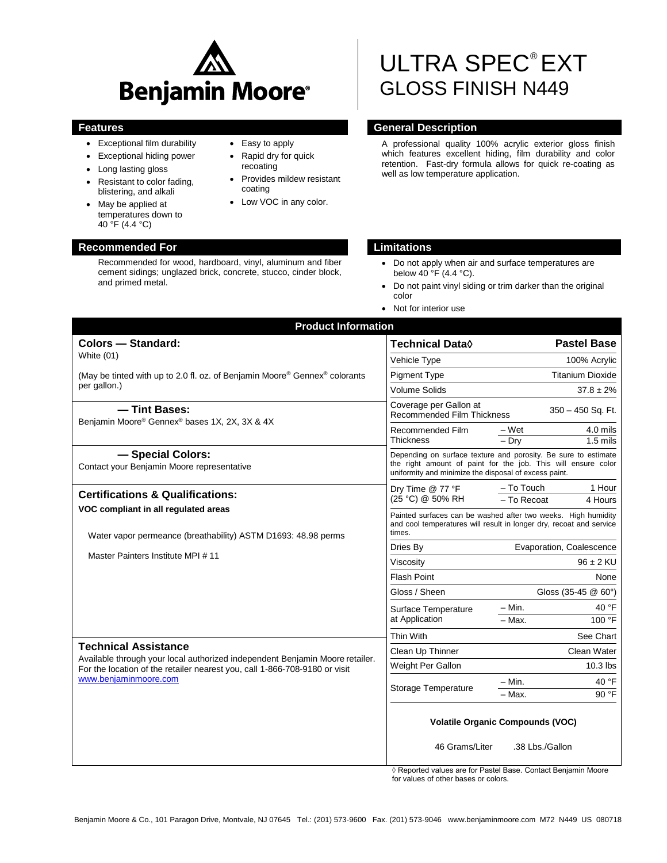

- Exceptional film durability
- Exceptional hiding power
- Long lasting gloss
- Resistant to color fading, blistering, and alkali
- May be applied at temperatures down to 40 °F (4.4 °C)

# **Recommended For Limitations**

Recommended for wood, hardboard, vinyl, aluminum and fiber cement sidings; unglazed brick, concrete, stucco, cinder block, and primed metal.

- Easy to apply • Rapid dry for quick
- recoating Provides mildew resistant
- coating
- Low VOC in any color.

# ULTRA SPEC® EXT GLOSS FINISH N449

# **Features General Description**

A professional quality 100% acrylic exterior gloss finish which features excellent hiding, film durability and color retention. Fast-dry formula allows for quick re-coating as well as low temperature application.

- Do not apply when air and surface temperatures are below 40 °F (4.4 °C).
- Do not paint vinyl siding or trim darker than the original color
- Not for interior use

| <b>Product Information</b>                                                                                                                                                                                         |                                                                                                                                                                                          |                                                |  |
|--------------------------------------------------------------------------------------------------------------------------------------------------------------------------------------------------------------------|------------------------------------------------------------------------------------------------------------------------------------------------------------------------------------------|------------------------------------------------|--|
| <b>Colors - Standard:</b>                                                                                                                                                                                          | <b>Technical Data</b> ♦                                                                                                                                                                  | <b>Pastel Base</b>                             |  |
| White (01)                                                                                                                                                                                                         | Vehicle Type                                                                                                                                                                             | 100% Acrylic                                   |  |
| (May be tinted with up to 2.0 fl. oz. of Benjamin Moore® Gennex® colorants                                                                                                                                         | <b>Pigment Type</b>                                                                                                                                                                      | <b>Titanium Dioxide</b>                        |  |
| per gallon.)                                                                                                                                                                                                       | <b>Volume Solids</b>                                                                                                                                                                     | $37.8 \pm 2\%$                                 |  |
| - Tint Bases:<br>Benjamin Moore® Gennex® bases 1X, 2X, 3X & 4X                                                                                                                                                     | Coverage per Gallon at<br><b>Recommended Film Thickness</b>                                                                                                                              | $350 - 450$ Sq. Ft.                            |  |
|                                                                                                                                                                                                                    | Recommended Film<br>Thickness                                                                                                                                                            | – Wet<br>4.0 mils<br>$-$ Drv<br>$1.5$ mils     |  |
| - Special Colors:<br>Contact your Benjamin Moore representative                                                                                                                                                    | Depending on surface texture and porosity. Be sure to estimate<br>the right amount of paint for the job. This will ensure color<br>uniformity and minimize the disposal of excess paint. |                                                |  |
| <b>Certifications &amp; Qualifications:</b>                                                                                                                                                                        | Dry Time @ 77 °F<br>(25 °C) @ 50% RH                                                                                                                                                     | - To Touch<br>1 Hour<br>- To Recoat<br>4 Hours |  |
| VOC compliant in all regulated areas<br>Water vapor permeance (breathability) ASTM D1693: 48.98 perms                                                                                                              | Painted surfaces can be washed after two weeks. High humidity<br>and cool temperatures will result in longer dry, recoat and service<br>times.                                           |                                                |  |
|                                                                                                                                                                                                                    | Dries By                                                                                                                                                                                 | Evaporation, Coalescence                       |  |
| Master Painters Institute MPI #11                                                                                                                                                                                  | Viscosity                                                                                                                                                                                | $96 \pm 2$ KU                                  |  |
|                                                                                                                                                                                                                    | <b>Flash Point</b>                                                                                                                                                                       | None                                           |  |
|                                                                                                                                                                                                                    | Gloss / Sheen                                                                                                                                                                            | Gloss (35-45 @ 60°)                            |  |
| <b>Technical Assistance</b><br>Available through your local authorized independent Benjamin Moore retailer.<br>For the location of the retailer nearest you, call 1-866-708-9180 or visit<br>www.benjaminmoore.com | Surface Temperature<br>at Application                                                                                                                                                    | 40 °F<br>– Min.<br>100 °F<br>$-$ Max.          |  |
|                                                                                                                                                                                                                    | <b>Thin With</b>                                                                                                                                                                         | See Chart                                      |  |
|                                                                                                                                                                                                                    | Clean Up Thinner                                                                                                                                                                         | Clean Water                                    |  |
|                                                                                                                                                                                                                    | Weight Per Gallon                                                                                                                                                                        | $10.3$ lbs                                     |  |
|                                                                                                                                                                                                                    | Storage Temperature                                                                                                                                                                      | $-$ Min.<br>40 °F<br>- Max.<br>90 °F           |  |
|                                                                                                                                                                                                                    | <b>Volatile Organic Compounds (VOC)</b>                                                                                                                                                  |                                                |  |
|                                                                                                                                                                                                                    | 46 Grams/Liter                                                                                                                                                                           | .38 Lbs./Gallon                                |  |

◊ Reported values are for Pastel Base. Contact Benjamin Moore for values of other bases or colors.